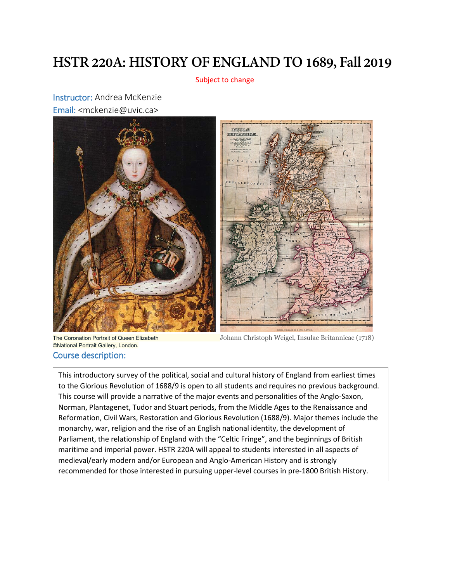## **HSTR 220A: HISTORY OF ENGLAND TO 1689, Fall 2019**

Subject to change

Instructor: Andrea McKenzie Email: <mckenzie@uvic.ca>





©National Portrait Gallery, London. Course description:

 $\overline{\phantom{a}}$ 

 $\overline{\phantom{a}}$ 

The Coronation Portrait of Queen Elizabeth Johann Christoph Weigel, Insulae Britannicae (1718)

maritime and imperial power. HSTR 220A will appeal to students interested in all aspects of This introductory survey of the political, social and cultural history of England from earliest times to the Glorious Revolution of 1688/9 is open to all students and requires no previous background. This course will provide a narrative of the major events and personalities of the Anglo-Saxon, Norman, Plantagenet, Tudor and Stuart periods, from the Middle Ages to the Renaissance and Reformation, Civil Wars, Restoration and Glorious Revolution (1688/9). Major themes include the monarchy, war, religion and the rise of an English national identity, the development of Parliament, the relationship of England with the "Celtic Fringe", and the beginnings of British medieval/early modern and/or European and Anglo-American History and is strongly recommended for those interested in pursuing upper-level courses in pre-1800 British History.